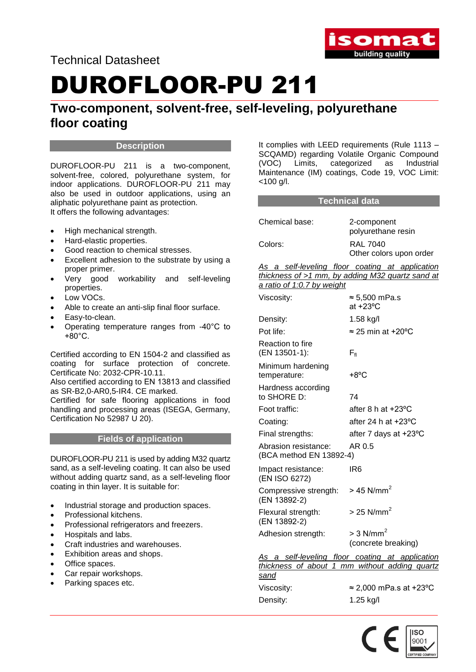

Technical Datasheet

# DUROFLOOR-PU 211

### **Two-component, solvent-free, self-leveling, polyurethane floor coating**

#### **Description**

DUROFLOOR-PU 211 is a two-component, solvent-free, colored, polyurethane system, for indoor applications. DUROFLOOR-PU 211 may also be used in outdoor applications, using an aliphatic polyurethane paint as protection. It offers the following advantages:

- High mechanical strength.
- Hard-elastic properties.
- Good reaction to chemical stresses.
- Excellent adhesion to the substrate by using a proper primer.
- Very good workability and self-leveling properties.
- Low VOCs.
- Able to create an anti-slip final floor surface.
- Easy-to-clean.
- Operating temperature ranges from -40°C to  $+80^{\circ}$ C.

Certified according to EN 1504-2 and classified as coating for surface protection of concrete. Certificate No: 2032-CPR-10.11.

Also certified according to ΕΝ 13813 and classified as SR-B2,0-AR0,5-IR4. CE marked.

Certified for safe flooring applications in food handling and processing areas (ISEGA, Germany, Certification No 52987 U 20).

#### **Fields of application**

DUROFLOOR-PU 211 is used by adding M32 quartz sand, as a self-leveling coating. It can also be used without adding quartz sand, as a self-leveling floor coating in thin layer. It is suitable for:

- Industrial storage and production spaces.
- Professional kitchens.
- Professional refrigerators and freezers.
- Hospitals and labs.
- Craft industries and warehouses.
- Exhibition areas and shops.
- Office spaces.
- Car repair workshops.
- Parking spaces etc.

It complies with LEED requirements (Rule 1113 – SCQAMD) regarding Volatile Organic Compound (VOC) Limits, categorized as Industrial Maintenance (IM) coatings, Code 19, VOC Limit: <100 g/l.

#### **Technical data**

| Chemical base: | 2-component<br>polyurethane resin          |
|----------------|--------------------------------------------|
| Colors:        | <b>RAL 7040</b><br>Other colors upon order |

*As a self-leveling floor coating at application thickness of >1 mm, by adding M32 quartz sand at a ratio of 1:0.7 by weight*

| Viscosity:                                      | $\approx$ 5,500 mPa.s<br>at $+23^{\circ}$ C                                                      |
|-------------------------------------------------|--------------------------------------------------------------------------------------------------|
| Density:                                        | 1.58 kg/l                                                                                        |
| Pot life:                                       | $\approx$ 25 min at +20°C                                                                        |
| Reaction to fire<br>(EN 13501-1):               | $F_{\rm fl}$                                                                                     |
| Minimum hardening<br>temperature:               | $+8^{\circ}$ C                                                                                   |
| Hardness according<br>to SHORE D:               | 74                                                                                               |
| Foot traffic:                                   | after 8 h at $+23$ °C                                                                            |
| Coating:                                        | after 24 h at $+23$ °C                                                                           |
| Final strengths:                                | after 7 days at +23°C                                                                            |
| Abrasion resistance:<br>(BCA method EN 13892-4) | AR 0.5                                                                                           |
| Impact resistance:<br>(EN ISO 6272)             | IR6                                                                                              |
| Compressive strength:<br>(EN 13892-2)           | $>$ 45 N/mm <sup>2</sup>                                                                         |
| Flexural strength:<br>(EN 13892-2)              | $>$ 25 N/mm <sup>2</sup>                                                                         |
| Adhesion strength:                              | $>$ 3 N/mm <sup>2</sup><br>(concrete breaking)                                                   |
| <u>sand</u>                                     | As a self-leveling floor coating at application<br>thickness of about 1 mm without adding quartz |
| Viscosity:                                      | ≈ 2,000 mPa.s at +23°C                                                                           |
| Density:                                        | 1.25 kg/l                                                                                        |

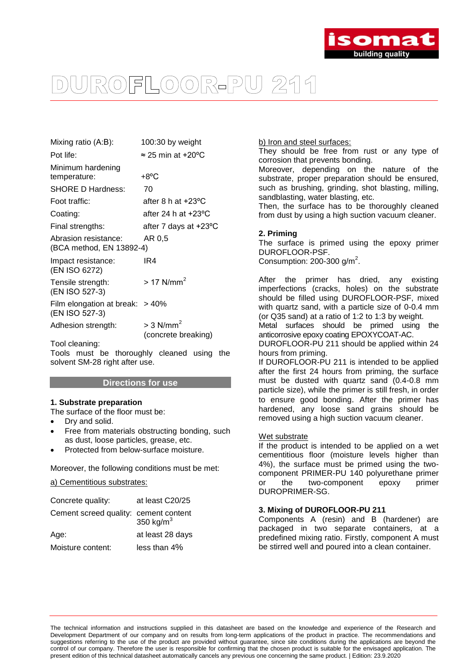

## ROFLOOR-PU 211

| 100:30 by weight                                           |  |
|------------------------------------------------------------|--|
| $\approx$ 25 min at +20°C                                  |  |
| $+8^{\circ}$ C                                             |  |
| 70                                                         |  |
| after 8 h at $+23^{\circ}$ C                               |  |
| after 24 h at $+23$ °C                                     |  |
| after 7 days at +23°C                                      |  |
| AR 0.5<br>Abrasion resistance:<br>(BCA method, EN 13892-4) |  |
| IR4                                                        |  |
| $> 17$ N/mm <sup>2</sup>                                   |  |
| Film elongation at break: $>40\%$                          |  |
|                                                            |  |

Adhesion strength:  $> 3$  N/mm<sup>2</sup>

(concrete breaking)

Tool cleaning:

Tools must be thoroughly cleaned using the solvent SM-28 right after use.

#### **Directions for use**

#### **1. Substrate preparation**

The surface of the floor must be:

- Dry and solid.
- Free from materials obstructing bonding, such as dust, loose particles, grease, etc.
- Protected from below-surface moisture.

Moreover, the following conditions must be met:

#### a) Cementitious substrates:

| Concrete quality:                     | at least C20/25  |
|---------------------------------------|------------------|
| Cement screed quality: cement content | 350 kg/ $m3$     |
| Age:                                  | at least 28 days |
| Moisture content:                     | less than 4%     |

b) Iron and steel surfaces:

They should be free from rust or any type of corrosion that prevents bonding.

Moreover, depending on the nature of the substrate, proper preparation should be ensured, such as brushing, grinding, shot blasting, milling, sandblasting, water blasting, etc.

Then, the surface has to be thoroughly cleaned from dust by using a high suction vacuum cleaner.

#### **2. Priming**

The surface is primed using the epoxy primer DUROFLOOR-PSF. Consumption: 200-300 g/m<sup>2</sup>.

After the primer has dried, any existing imperfections (cracks, holes) on the substrate should be filled using DUROFLOOR-PSF, mixed with quartz sand, with a particle size of 0-0.4 mm (or Q35 sand) at a ratio of 1:2 to 1:3 by weight.

Metal surfaces should be primed using the anticorrosive epoxy coating EPOXYCOAT-AC.

DUROFLOOR-PU 211 should be applied within 24 hours from priming.

If DUROFLOOR-PU 211 is intended to be applied after the first 24 hours from priming, the surface must be dusted with quartz sand (0.4-0.8 mm particle size), while the primer is still fresh, in order to ensure good bonding. After the primer has hardened, any loose sand grains should be removed using a high suction vacuum cleaner.

#### Wet substrate

If the product is intended to be applied on a wet cementitious floor (moisture levels higher than 4%), the surface must be primed using the twocomponent PRIMER-PU 140 polyurethane primer or the two-component epoxy primer DUROPRIMER-SG.

#### **3. Mixing of DUROFLOOR-PU 211**

Components A (resin) and B (hardener) are packaged in two separate containers, at a predefined mixing ratio. Firstly, component A must be stirred well and poured into a clean container.

The technical information and instructions supplied in this datasheet are based on the knowledge and experience of the Research and Development Department of our company and on results from long-term applications of the product in practice. The recommendations and suggestions referring to the use of the product are provided without guarantee, since site conditions during the applications are beyond the control of our company. Therefore the user is responsible for confirming that the chosen product is suitable for the envisaged application. The present edition of this technical datasheet automatically cancels any previous one concerning the same product. | Edition: 23.9.2020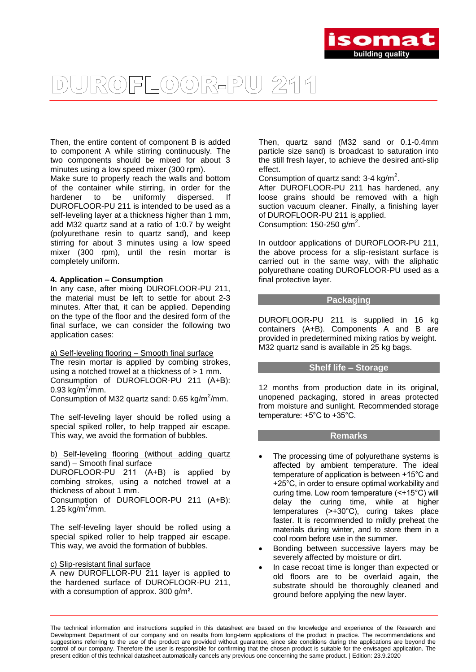

## ROFLOOR-PU 211

Then, the entire content of component B is added to component A while stirring continuously. The two components should be mixed for about 3 minutes using a low speed mixer (300 rpm).

Make sure to properly reach the walls and bottom of the container while stirring, in order for the hardener to be uniformly dispersed. If DUROFLOOR-PU 211 is intended to be used as a self-leveling layer at a thickness higher than 1 mm, add M32 quartz sand at a ratio of 1:0.7 by weight (polyurethane resin to quartz sand), and keep stirring for about 3 minutes using a low speed mixer (300 rpm), until the resin mortar is completely uniform.

#### **4. Application – Consumption**

In any case, after mixing DUROFLOOR-PU 211, the material must be left to settle for about 2-3 minutes. After that, it can be applied. Depending on the type of the floor and the desired form of the final surface, we can consider the following two application cases:

a) Self-leveling flooring – Smooth final surface The resin mortar is applied by combing strokes, using a notched trowel at a thickness of > 1 mm. Consumption of DUROFLOOR-PU 211 (Α+Β): 0.93 kg/m<sup>2</sup>/mm.

Consumption of M32 quartz sand:  $0.65$  kg/m<sup>2</sup>/mm.

The self-leveling layer should be rolled using a special spiked roller, to help trapped air escape. This way, we avoid the formation of bubbles.

b) Self-leveling flooring (without adding quartz sand) – Smooth final surface

DUROFLOOR-PU 211 (Α+Β) is applied by combing strokes, using a notched trowel at a thickness of about 1 mm. Consumption of DUROFLOOR-PU 211 (Α+Β): 1.25  $kg/m^2/mm$ .

The self-leveling layer should be rolled using a special spiked roller to help trapped air escape. This way, we avoid the formation of bubbles.

#### c) Slip-resistant final surface

A new DUROFLLOR-PU 211 layer is applied to the hardened surface of DUROFLOOR-PU 211, with a consumption of approx. 300 g/m².

Then, quartz sand (Μ32 sand or 0.1-0.4mm particle size sand) is broadcast to saturation into the still fresh layer, to achieve the desired anti-slip effect.

Consumption of quartz sand:  $3-4$  kg/m<sup>2</sup>.

After DUROFLOOR-PU 211 has hardened, any loose grains should be removed with a high suction vacuum cleaner. Finally, a finishing layer of DUROFLOOR-PU 211 is applied. Consumption:  $150-250$  g/m<sup>2</sup>.

In outdoor applications of DUROFLOOR-PU 211, the above process for a slip-resistant surface is carried out in the same way, with the aliphatic polyurethane coating DUROFLOOR-PU used as a final protective layer.

#### **Packaging**

DUROFLOOR-PU 211 is supplied in 16 kg containers (A+B). Components A and B are provided in predetermined mixing ratios by weight. M32 quartz sand is available in 25 kg bags.

#### **Shelf life – Storage**

12 months from production date in its original, unopened packaging, stored in areas protected from moisture and sunlight. Recommended storage temperature: +5°C to +35°C.

#### **Remarks**

- The processing time of polyurethane systems is affected by ambient temperature. The ideal temperature of application is between +15°C and +25°C, in order to ensure optimal workability and curing time. Low room temperature (<+15°C) will delay the curing time, while at higher temperatures (>+30°C), curing takes place faster. It is recommended to mildly preheat the materials during winter, and to store them in a cool room before use in the summer.
- Bonding between successive layers may be severely affected by moisture or dirt.
- In case recoat time is longer than expected or old floors are to be overlaid again, the substrate should be thoroughly cleaned and ground before applying the new layer.

The technical information and instructions supplied in this datasheet are based on the knowledge and experience of the Research and Development Department of our company and on results from long-term applications of the product in practice. The recommendations and suggestions referring to the use of the product are provided without guarantee, since site conditions during the applications are beyond the control of our company. Therefore the user is responsible for confirming that the chosen product is suitable for the envisaged application. The present edition of this technical datasheet automatically cancels any previous one concerning the same product. | Edition: 23.9.2020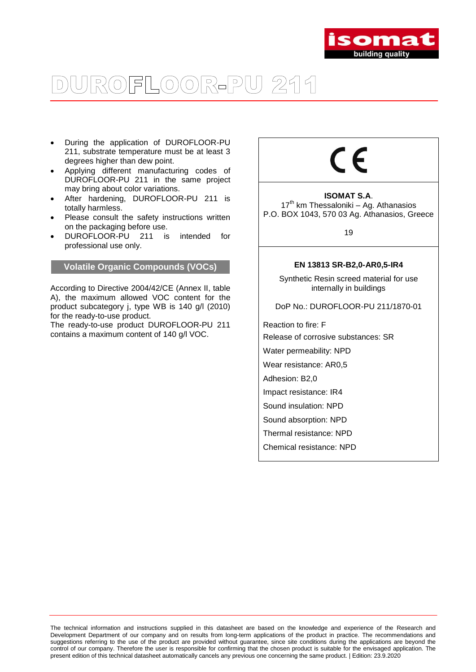

## ROFLOOR-PU 211

- During the application of DUROFLOOR-PU 211, substrate temperature must be at least 3 degrees higher than dew point.
- Applying different manufacturing codes of DUROFLOOR-PU 211 in the same project may bring about color variations.
- After hardening, DUROFLOOR-PU 211 is totally harmless.
- Please consult the safety instructions written on the packaging before use.
- DUROFLOOR-PU 211 is intended for professional use only.

#### **Volatile Organic Compounds (VOCs)**

According to Directive 2004/42/CE (Annex II, table A), the maximum allowed VOC content for the product subcategory j, type WB is 140 g/l (2010) for the ready-to-use product.

The ready-to-use product DUROFLOOR-PU 211 contains a maximum content of 140 g/l VOC.

# ∈

#### **ISOMAT S.A**. 17<sup>th</sup> km Thessaloniki - Ag. Athanasios P.O. BOX 1043, 570 03 Ag. Athanasios, Greece

19

#### **EN 13813 SR-B2,0-AR0,5-IR4**

Synthetic Resin screed material for use internally in buildings

DoP No.: DUROFLOOR-PU 211/1870-01

Reaction to fire: F

Release of corrosive substances: SR

Water permeability: NPD

Wear resistance: AR0,5

Adhesion: B2,0

- Impact resistance: IR4
- Sound insulation: NPD
- Sound absorption: NPD
- Thermal resistance: NPD

Chemical resistance: NPD

The technical information and instructions supplied in this datasheet are based on the knowledge and experience of the Research and Development Department of our company and on results from long-term applications of the product in practice. The recommendations and suggestions referring to the use of the product are provided without guarantee, since site conditions during the applications are beyond the control of our company. Therefore the user is responsible for confirming that the chosen product is suitable for the envisaged application. The present edition of this technical datasheet automatically cancels any previous one concerning the same product. | Edition: 23.9.2020